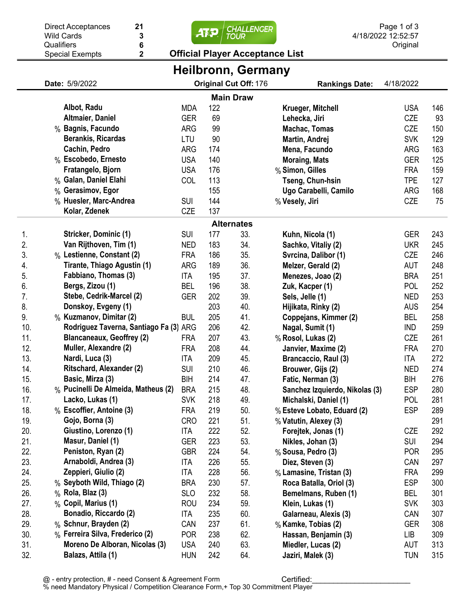|                           | 21<br><b>Direct Acceptances</b><br>人花<br><b>Wild Cards</b><br><b>TOUR</b>     |                                                         |                          |            |            | Page 1 of 3<br><b>CHALLENGER</b><br>4/18/2022 12:52:57  |                          |            |  |  |  |  |
|---------------------------|-------------------------------------------------------------------------------|---------------------------------------------------------|--------------------------|------------|------------|---------------------------------------------------------|--------------------------|------------|--|--|--|--|
|                           | Qualifiers                                                                    | 3<br>6                                                  |                          |            |            |                                                         |                          |            |  |  |  |  |
|                           |                                                                               | $\overline{\mathbf{2}}$<br><b>Special Exempts</b>       |                          |            |            | <b>Official Player Acceptance List</b>                  | Original                 |            |  |  |  |  |
| <b>Heilbronn, Germany</b> |                                                                               |                                                         |                          |            |            |                                                         |                          |            |  |  |  |  |
|                           | Original Cut Off: 176<br>Date: 5/9/2022<br>4/18/2022<br><b>Rankings Date:</b> |                                                         |                          |            |            |                                                         |                          |            |  |  |  |  |
| <b>Main Draw</b>          |                                                                               |                                                         |                          |            |            |                                                         |                          |            |  |  |  |  |
|                           |                                                                               | Albot, Radu                                             | <b>MDA</b>               | 122        |            | Krueger, Mitchell                                       | <b>USA</b>               | 146        |  |  |  |  |
|                           |                                                                               | Altmaier, Daniel                                        | <b>GER</b>               | 69         |            | Lehecka, Jiri                                           | CZE                      | 93         |  |  |  |  |
|                           |                                                                               | % Bagnis, Facundo                                       | <b>ARG</b>               | 99         |            | Machac, Tomas                                           | CZE                      | 150        |  |  |  |  |
|                           |                                                                               | <b>Berankis, Ricardas</b>                               | LTU                      | 90         |            | Martin, Andrej                                          | <b>SVK</b>               | 129        |  |  |  |  |
|                           |                                                                               | Cachin, Pedro                                           | <b>ARG</b>               | 174        |            | Mena, Facundo                                           | <b>ARG</b>               | 163        |  |  |  |  |
|                           |                                                                               | % Escobedo, Ernesto                                     | <b>USA</b>               | 140        |            | <b>Moraing, Mats</b>                                    | <b>GER</b>               | 125        |  |  |  |  |
|                           |                                                                               | Fratangelo, Bjorn                                       | <b>USA</b>               | 176        |            | % Simon, Gilles                                         | <b>FRA</b>               | 159        |  |  |  |  |
|                           |                                                                               | % Galan, Daniel Elahi                                   | COL                      | 113        |            | Tseng, Chun-hsin                                        | <b>TPE</b>               | 127        |  |  |  |  |
|                           |                                                                               | % Gerasimov, Egor                                       |                          | 155        |            | Ugo Carabelli, Camilo                                   | ARG                      | 168        |  |  |  |  |
|                           |                                                                               | % Huesler, Marc-Andrea                                  | <b>SUI</b>               | 144        |            | % Vesely, Jiri                                          | CZE                      | 75         |  |  |  |  |
|                           |                                                                               | Kolar, Zdenek                                           | CZE                      | 137        |            |                                                         |                          |            |  |  |  |  |
| <b>Alternates</b>         |                                                                               |                                                         |                          |            |            |                                                         |                          |            |  |  |  |  |
| 1.                        |                                                                               | Stricker, Dominic (1)                                   | <b>SUI</b>               | 177        | 33.        | Kuhn, Nicola (1)                                        | <b>GER</b>               | 243        |  |  |  |  |
| 2.                        |                                                                               | Van Rijthoven, Tim (1)                                  | <b>NED</b>               | 183        | 34.        | Sachko, Vitaliy (2)                                     | <b>UKR</b>               | 245        |  |  |  |  |
| 3.                        |                                                                               | % Lestienne, Constant (2)                               | <b>FRA</b>               | 186        | 35.        | Svrcina, Dalibor (1)                                    | CZE                      | 246        |  |  |  |  |
| 4.                        |                                                                               | Tirante, Thiago Agustin (1)                             | <b>ARG</b>               | 189        | 36.        | Melzer, Gerald (2)                                      | <b>AUT</b>               | 248        |  |  |  |  |
| 5.                        |                                                                               | Fabbiano, Thomas (3)                                    | ITA                      | 195        | 37.        | Menezes, Joao (2)                                       | <b>BRA</b>               | 251        |  |  |  |  |
| 6.                        |                                                                               | Bergs, Zizou (1)                                        | <b>BEL</b>               | 196        | 38.        | Zuk, Kacper (1)                                         | <b>POL</b>               | 252        |  |  |  |  |
| 7.                        |                                                                               | Stebe, Cedrik-Marcel (2)                                | <b>GER</b>               | 202        | 39.        | Sels, Jelle (1)                                         | <b>NED</b>               | 253        |  |  |  |  |
| 8.                        |                                                                               | Donskoy, Evgeny (1)                                     |                          | 203        | 40.        | Hijikata, Rinky (2)                                     | <b>AUS</b>               | 254        |  |  |  |  |
| 9.                        |                                                                               | % Kuzmanov, Dimitar (2)                                 | <b>BUL</b>               | 205        | 41.        | Coppejans, Kimmer (2)                                   | <b>BEL</b>               | 258        |  |  |  |  |
| 10.                       |                                                                               | Rodriguez Taverna, Santiago Fa (3) ARG                  |                          | 206        | 42.        | Nagal, Sumit (1)                                        | <b>IND</b>               | 259        |  |  |  |  |
| 11.                       |                                                                               | <b>Blancaneaux, Geoffrey (2)</b>                        | <b>FRA</b>               | 207        | 43.        | % Rosol, Lukas (2)                                      | CZE                      | 261        |  |  |  |  |
| 12.                       |                                                                               | Muller, Alexandre (2)                                   | <b>FRA</b>               | 208        | 44.        | Janvier, Maxime (2)                                     | <b>FRA</b>               | 270        |  |  |  |  |
| 13.                       |                                                                               | Nardi, Luca (3)                                         | <b>ITA</b>               | 209        | 45.        | Brancaccio, Raul (3)                                    | <b>ITA</b>               | 272        |  |  |  |  |
| 14.                       |                                                                               | Ritschard, Alexander (2)                                | SUI                      | 210        | 46.        | Brouwer, Gijs (2)                                       | <b>NED</b>               | 274        |  |  |  |  |
| 15.<br>16.                |                                                                               | Basic, Mirza (3)<br>% Pucinelli De Almeida, Matheus (2) | BIH                      | 214        | 47.<br>48. | Fatic, Nerman (3)                                       | <b>BIH</b>               | 276        |  |  |  |  |
| 17.                       |                                                                               | Lacko, Lukas (1)                                        | <b>BRA</b><br><b>SVK</b> | 215<br>218 | 49.        | Sanchez Izquierdo, Nikolas (3)<br>Michalski, Daniel (1) | <b>ESP</b><br><b>POL</b> | 280<br>281 |  |  |  |  |
| 18.                       |                                                                               | % Escoffier, Antoine (3)                                | <b>FRA</b>               | 219        | 50.        | % Esteve Lobato, Eduard (2)                             | <b>ESP</b>               | 289        |  |  |  |  |
| 19.                       |                                                                               | Gojo, Borna (3)                                         | <b>CRO</b>               | 221        | 51.        | % Vatutin, Alexey (3)                                   |                          | 291        |  |  |  |  |
| 20.                       |                                                                               | Giustino, Lorenzo (1)                                   | ITA                      | 222        | 52.        | Forejtek, Jonas (1)                                     | CZE                      | 292        |  |  |  |  |
| 21.                       |                                                                               | Masur, Daniel (1)                                       | GER                      | 223        | 53.        | Nikles, Johan (3)                                       | SUI                      | 294        |  |  |  |  |
| 22.                       |                                                                               | Peniston, Ryan (2)                                      | <b>GBR</b>               | 224        | 54.        | % Sousa, Pedro (3)                                      | <b>POR</b>               | 295        |  |  |  |  |
| 23.                       |                                                                               | Arnaboldi, Andrea (3)                                   | <b>ITA</b>               | 226        | 55.        | Diez, Steven (3)                                        | CAN                      | 297        |  |  |  |  |
| 24.                       |                                                                               | Zeppieri, Giulio (2)                                    | <b>ITA</b>               | 228        | 56.        | % Lamasine, Tristan (3)                                 | <b>FRA</b>               | 299        |  |  |  |  |
| 25.                       |                                                                               | % Seyboth Wild, Thiago (2)                              | <b>BRA</b>               | 230        | 57.        | Roca Batalla, Oriol (3)                                 | <b>ESP</b>               | 300        |  |  |  |  |
| 26.                       |                                                                               | $\%$ Rola, Blaz (3)                                     | <b>SLO</b>               | 232        | 58.        | Bemelmans, Ruben (1)                                    | <b>BEL</b>               | 301        |  |  |  |  |
| 27.                       |                                                                               | $%$ Copil, Marius (1)                                   | <b>ROU</b>               | 234        | 59.        | Klein, Lukas (1)                                        | <b>SVK</b>               | 303        |  |  |  |  |
| 28.                       |                                                                               | Bonadio, Riccardo (2)                                   | <b>ITA</b>               | 235        | 60.        | Galarneau, Alexis (3)                                   | CAN                      | 307        |  |  |  |  |
| 29.                       |                                                                               | % Schnur, Brayden (2)                                   | CAN                      | 237        | 61.        | % Kamke, Tobias (2)                                     | <b>GER</b>               | 308        |  |  |  |  |
| 30.                       |                                                                               | % Ferreira Silva, Frederico (2)                         | <b>POR</b>               | 238        | 62.        | Hassan, Benjamin (3)                                    | <b>LIB</b>               | 309        |  |  |  |  |
| 31.                       |                                                                               | Moreno De Alboran, Nicolas (3)                          | <b>USA</b>               | 240        | 63.        | Miedler, Lucas (2)                                      | <b>AUT</b>               | 313        |  |  |  |  |
| 32.                       |                                                                               | Balazs, Attila (1)                                      | <b>HUN</b>               | 242        | 64.        | Jaziri, Malek (3)                                       | <b>TUN</b>               | 315        |  |  |  |  |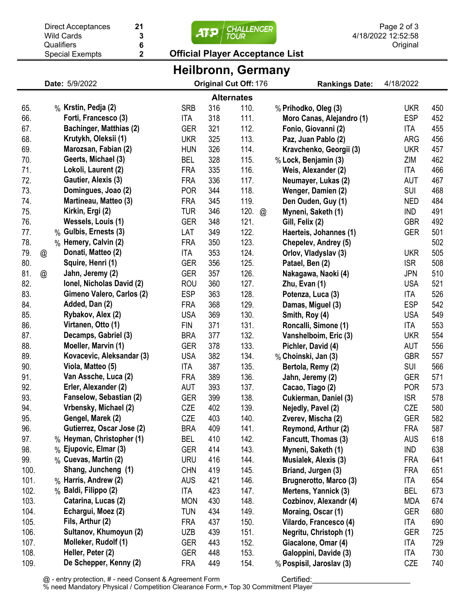| 21<br><b>Direct Acceptances</b><br><b>Wild Cards</b><br>3                                   |                      |  |                                            |                          | <b>CHALLENGER</b><br><b>TOUR</b> |              |                      | Page 2 of 3<br>4/18/2022 12:52:58           |                          |            |  |  |
|---------------------------------------------------------------------------------------------|----------------------|--|--------------------------------------------|--------------------------|----------------------------------|--------------|----------------------|---------------------------------------------|--------------------------|------------|--|--|
|                                                                                             |                      |  | 6<br>Qualifiers                            |                          |                                  |              |                      |                                             | Original                 |            |  |  |
| <b>Official Player Acceptance List</b><br>$\overline{\mathbf{2}}$<br><b>Special Exempts</b> |                      |  |                                            |                          |                                  |              |                      |                                             |                          |            |  |  |
| Heilbronn, Germany                                                                          |                      |  |                                            |                          |                                  |              |                      |                                             |                          |            |  |  |
| Original Cut Off: 176<br>Date: 5/9/2022<br>4/18/2022<br><b>Rankings Date:</b>               |                      |  |                                            |                          |                                  |              |                      |                                             |                          |            |  |  |
| <b>Alternates</b>                                                                           |                      |  |                                            |                          |                                  |              |                      |                                             |                          |            |  |  |
| 65.                                                                                         |                      |  | % Krstin, Pedja (2)                        | <b>SRB</b>               | 316                              | 110.         |                      | % Prihodko, Oleg (3)                        | <b>UKR</b>               | 450        |  |  |
| 66.                                                                                         |                      |  | Forti, Francesco (3)                       | <b>ITA</b>               | 318                              | 111.         |                      | Moro Canas, Alejandro (1)                   | <b>ESP</b>               | 452        |  |  |
| 67.                                                                                         |                      |  | <b>Bachinger, Matthias (2)</b>             | <b>GER</b>               | 321                              | 112.         |                      | Fonio, Giovanni (2)                         | ITA                      | 455        |  |  |
| 68.                                                                                         |                      |  | Krutykh, Oleksii (1)                       | <b>UKR</b>               | 325                              | 113.         |                      | Paz, Juan Pablo (2)                         | ARG                      | 456        |  |  |
| 69.                                                                                         |                      |  | Marozsan, Fabian (2)                       | <b>HUN</b>               | 326                              | 114.         |                      | Kravchenko, Georgii (3)                     | <b>UKR</b>               | 457        |  |  |
| 70.                                                                                         |                      |  | Geerts, Michael (3)                        | <b>BEL</b>               | 328                              | 115.         |                      | % Lock, Benjamin (3)                        | ZIM                      | 462        |  |  |
| 71.                                                                                         |                      |  | Lokoli, Laurent (2)                        | <b>FRA</b>               | 335                              | 116.         |                      | Weis, Alexander (2)                         | ITA                      | 466        |  |  |
| 72.                                                                                         |                      |  | Gautier, Alexis (3)                        | <b>FRA</b>               | 336                              | 117.         |                      | Neumayer, Lukas (2)                         | AUT                      | 467        |  |  |
| 73.                                                                                         |                      |  | Domingues, Joao (2)                        | <b>POR</b>               | 344                              | 118.         |                      | Wenger, Damien (2)                          | SUI                      | 468        |  |  |
| 74.                                                                                         |                      |  | Martineau, Matteo (3)                      | <b>FRA</b>               | 345                              | 119.         |                      | Den Ouden, Guy (1)                          | <b>NED</b>               | 484        |  |  |
| 75.                                                                                         |                      |  | Kirkin, Ergi (2)                           | <b>TUR</b>               | 346                              | 120.         | $^{\textregistered}$ | Myneni, Saketh (1)                          | IND                      | 491        |  |  |
| 76.                                                                                         |                      |  | Wessels, Louis (1)                         | <b>GER</b>               | 348                              | 121.         |                      | Gill, Felix (2)                             | <b>GBR</b>               | 492        |  |  |
| 77.                                                                                         |                      |  | % Gulbis, Ernests (3)                      | LAT                      | 349                              | 122.         |                      | Haerteis, Johannes (1)                      | GER                      | 501        |  |  |
| 78.                                                                                         |                      |  | % Hemery, Calvin (2)                       | <b>FRA</b>               | 350                              | 123.         |                      | Chepelev, Andrey (5)                        |                          | 502        |  |  |
| 79.                                                                                         | @                    |  | Donati, Matteo (2)                         | <b>ITA</b>               | 353                              | 124.         |                      | Orlov, Vladyslav (3)                        | <b>UKR</b>               | 505        |  |  |
| 80.                                                                                         |                      |  | Squire, Henri (1)                          | <b>GER</b>               | 356                              | 125.         |                      | Patael, Ben (2)                             | <b>ISR</b>               | 508        |  |  |
| 81.                                                                                         | $^{\textregistered}$ |  | Jahn, Jeremy (2)                           | <b>GER</b>               | 357                              | 126.         |                      | Nakagawa, Naoki (4)                         | <b>JPN</b>               | 510        |  |  |
| 82.                                                                                         |                      |  | Ionel, Nicholas David (2)                  | <b>ROU</b>               | 360                              | 127.         |                      | Zhu, Evan (1)                               | <b>USA</b>               | 521        |  |  |
| 83.                                                                                         |                      |  | Gimeno Valero, Carlos (2)                  | <b>ESP</b>               | 363                              | 128.         |                      | Potenza, Luca (3)                           | ITA                      | 526        |  |  |
| 84.                                                                                         |                      |  | Added, Dan (2)                             | <b>FRA</b>               | 368                              | 129.         |                      | Damas, Miguel (3)                           | <b>ESP</b>               | 542        |  |  |
| 85.                                                                                         |                      |  | Rybakov, Alex (2)                          | <b>USA</b>               | 369                              | 130.         |                      | Smith, Roy (4)                              | <b>USA</b>               | 549        |  |  |
| 86.<br>87.                                                                                  |                      |  | Virtanen, Otto (1)<br>Decamps, Gabriel (3) | <b>FIN</b>               | 371                              | 131.         |                      | Roncalli, Simone (1)                        | ITA                      | 553        |  |  |
| 88.                                                                                         |                      |  | Moeller, Marvin (1)                        | <b>BRA</b><br><b>GER</b> | 377<br>378                       | 132.<br>133. |                      | Vanshelboim, Eric (3)<br>Pichler, David (4) | <b>UKR</b><br><b>AUT</b> | 554<br>556 |  |  |
| 89.                                                                                         |                      |  | Kovacevic, Aleksandar (3)                  | <b>USA</b>               | 382                              | 134.         |                      | % Choinski, Jan (3)                         | <b>GBR</b>               | 557        |  |  |
| 90.                                                                                         |                      |  | Viola, Matteo (5)                          | <b>ITA</b>               | 387                              | 135.         |                      | Bertola, Remy (2)                           | SUI                      | 566        |  |  |
| 91.                                                                                         |                      |  | Van Assche, Luca (2)                       | <b>FRA</b>               | 389                              | 136.         |                      | Jahn, Jeremy (2)                            | <b>GER</b>               | 571        |  |  |
| 92.                                                                                         |                      |  | Erler, Alexander (2)                       | AUT                      | 393                              | 137.         |                      | Cacao, Tiago (2)                            | <b>POR</b>               | 573        |  |  |
| 93.                                                                                         |                      |  | Fanselow, Sebastian (2)                    | <b>GER</b>               | 399                              | 138.         |                      | Cukierman, Daniel (3)                       | <b>ISR</b>               | 578        |  |  |
| 94.                                                                                         |                      |  | Vrbensky, Michael (2)                      | CZE                      | 402                              | 139.         |                      | Nejedly, Pavel (2)                          | CZE                      | 580        |  |  |
| 95.                                                                                         |                      |  | Gengel, Marek (2)                          | CZE                      | 403                              | 140.         |                      | Zverev, Mischa (2)                          | <b>GER</b>               | 582        |  |  |
| 96.                                                                                         |                      |  | Gutierrez, Oscar Jose (2)                  | <b>BRA</b>               | 409                              | 141.         |                      | Reymond, Arthur (2)                         | <b>FRA</b>               | 587        |  |  |
| 97.                                                                                         |                      |  | % Heyman, Christopher (1)                  | <b>BEL</b>               | 410                              | 142.         |                      | Fancutt, Thomas (3)                         | <b>AUS</b>               | 618        |  |  |
| 98.                                                                                         |                      |  | % Ejupovic, Elmar (3)                      | <b>GER</b>               | 414                              | 143.         |                      | Myneni, Saketh (1)                          | IND                      | 638        |  |  |
| 99.                                                                                         |                      |  | % Cuevas, Martin (2)                       | <b>URU</b>               | 416                              | 144.         |                      | Musialek, Alexis (3)                        | <b>FRA</b>               | 641        |  |  |
| 100.                                                                                        |                      |  | Shang, Juncheng (1)                        | <b>CHN</b>               | 419                              | 145.         |                      | Briand, Jurgen (3)                          | <b>FRA</b>               | 651        |  |  |
| 101.                                                                                        |                      |  | % Harris, Andrew (2)                       | <b>AUS</b>               | 421                              | 146.         |                      | Brugnerotto, Marco (3)                      | ITA                      | 654        |  |  |
| 102.                                                                                        |                      |  | % Baldi, Filippo (2)                       | ITA                      | 423                              | 147.         |                      | Mertens, Yannick (3)                        | BEL                      | 673        |  |  |
| 103.                                                                                        |                      |  | Catarina, Lucas (2)                        | <b>MON</b>               | 430                              | 148.         |                      | Cozbinov, Alexandr (4)                      | <b>MDA</b>               | 674        |  |  |
| 104.                                                                                        |                      |  | Echargui, Moez (2)                         | <b>TUN</b>               | 434                              | 149.         |                      | Moraing, Oscar (1)                          | GER                      | 680        |  |  |
| 105.                                                                                        |                      |  | Fils, Arthur (2)                           | <b>FRA</b>               | 437                              | 150.         |                      | Vilardo, Francesco (4)                      | ITA                      | 690        |  |  |
| 106.                                                                                        |                      |  | Sultanov, Khumoyun (2)                     | <b>UZB</b>               | 439                              | 151.         |                      | Negritu, Christoph (1)                      | <b>GER</b>               | 725        |  |  |
| 107.                                                                                        |                      |  | Molleker, Rudolf (1)                       | <b>GER</b>               | 443                              | 152.         |                      | Giacalone, Omar (4)                         | ITA                      | 729        |  |  |
| 108.                                                                                        |                      |  | Heller, Peter (2)                          | <b>GER</b>               | 448                              | 153.         |                      | Galoppini, Davide (3)                       | ITA                      | 730        |  |  |
| 109.                                                                                        |                      |  | De Schepper, Kenny (2)                     | <b>FRA</b>               | 449                              | 154.         |                      | % Pospisil, Jaroslav (3)                    | CZE                      | 740        |  |  |

@ - entry protection, # - need Consent & Agreement Form % need Mandatory Physical / Competition Clearance Form,+ Top 30 Commitment Player Certified:\_\_\_\_\_\_\_\_\_\_\_\_\_\_\_\_\_\_\_\_\_\_\_